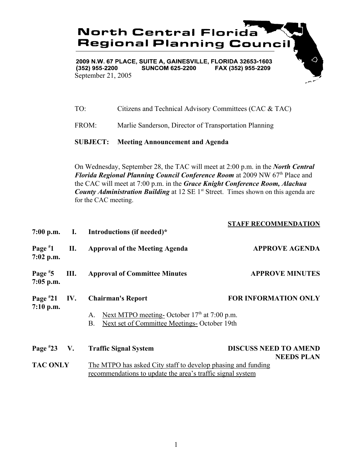

 $(352)$  955-2200 **SUNCOM 625-2200** FAX (352) 955-2209 September 21, 2005

TO: Citizens and Technical Advisory Committees (CAC & TAC)

FROM: Marlie Sanderson, Director of Transportation Planning

## **SUBJECT: Meeting Announcement and Agenda**

On Wednesday, September 28, the TAC will meet at 2:00 p.m. in the *North Central Florida Regional Planning Council Conference Room* at 2009 NW 67<sup>th</sup> Place and the CAC will meet at 7:00 p.m. in the *Grace Knight Conference Room, Alachua County Administration Building* at 12 SE 1<sup>st</sup> Street. Times shown on this agenda are for the CAC meeting.

|                               |    | 7:00 p.m. I. Introductions (if needed)*                                                                                                                            | <b>STAFF RECOMMENDATION</b>                       |  |
|-------------------------------|----|--------------------------------------------------------------------------------------------------------------------------------------------------------------------|---------------------------------------------------|--|
| Page $*1$<br>$7:02$ p.m.      | П. | <b>Approval of the Meeting Agenda</b>                                                                                                                              | <b>APPROVE AGENDA</b>                             |  |
| Page $*5$<br>$7:05$ p.m.      | Ш. | <b>Approval of Committee Minutes</b>                                                                                                                               | <b>APPROVE MINUTES</b>                            |  |
| Page $*21$ IV.<br>$7:10$ p.m. |    | <b>FOR INFORMATION ONLY</b><br><b>Chairman's Report</b><br>Next MTPO meeting-October 17th at 7:00 p.m.<br>А.<br>Next set of Committee Meetings- October 19th<br>Β. |                                                   |  |
| Page $*23$ V.                 |    | <b>Traffic Signal System</b>                                                                                                                                       | <b>DISCUSS NEED TO AMEND</b><br><b>NEEDS PLAN</b> |  |
| <b>TAC ONLY</b>               |    | The MTPO has asked City staff to develop phasing and funding<br>recommendations to update the area's traffic signal system                                         |                                                   |  |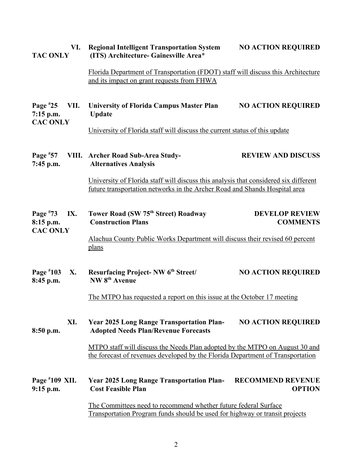| VI.<br><b>TAC ONLY</b>                               | <b>Regional Intelligent Transportation System</b><br><b>NO ACTION REQUIRED</b><br>(ITS) Architecture- Gainesville Area*                                            |                                           |  |
|------------------------------------------------------|--------------------------------------------------------------------------------------------------------------------------------------------------------------------|-------------------------------------------|--|
|                                                      | Florida Department of Transportation (FDOT) staff will discuss this Architecture<br>and its impact on grant requests from FHWA                                     |                                           |  |
| Page $*25$<br>VII.<br>$7:15$ p.m.<br><b>CAC ONLY</b> | <b>University of Florida Campus Master Plan</b><br><b>Update</b>                                                                                                   | <b>NO ACTION REQUIRED</b>                 |  |
|                                                      | University of Florida staff will discuss the current status of this update                                                                                         |                                           |  |
| Page $*57$<br>7:45 p.m.                              | VIII. Archer Road Sub-Area Study-<br><b>Alternatives Analysis</b>                                                                                                  | <b>REVIEW AND DISCUSS</b>                 |  |
|                                                      | University of Florida staff will discuss this analysis that considered six different<br>future transportation networks in the Archer Road and Shands Hospital area |                                           |  |
| Page $*73$<br>IX.<br>8:15 p.m.<br><b>CAC ONLY</b>    | Tower Road (SW 75th Street) Roadway<br><b>Construction Plans</b>                                                                                                   | <b>DEVELOP REVIEW</b><br><b>COMMENTS</b>  |  |
|                                                      | Alachua County Public Works Department will discuss their revised 60 percent<br><u>plans</u>                                                                       |                                           |  |
| Page $*103$<br>X.<br>8:45 p.m.                       | <b>Resurfacing Project-NW 6th Street/</b><br>NW 8 <sup>th</sup> Avenue                                                                                             | <b>NO ACTION REQUIRED</b>                 |  |
|                                                      | The MTPO has requested a report on this issue at the October 17 meeting                                                                                            |                                           |  |
| XI.<br>8:50 p.m.                                     | <b>Year 2025 Long Range Transportation Plan-</b><br><b>Adopted Needs Plan/Revenue Forecasts</b>                                                                    | <b>NO ACTION REQUIRED</b>                 |  |
|                                                      | MTPO staff will discuss the Needs Plan adopted by the MTPO on August 30 and<br>the forecast of revenues developed by the Florida Department of Transportation      |                                           |  |
| Page $*109$ XII.<br>$9:15$ p.m.                      | <b>Year 2025 Long Range Transportation Plan-</b><br><b>Cost Feasible Plan</b>                                                                                      | <b>RECOMMEND REVENUE</b><br><b>OPTION</b> |  |
|                                                      | The Committees need to recommend whether future federal Surface<br><b>Transportation Program funds should be used for highway or transit projects</b>              |                                           |  |